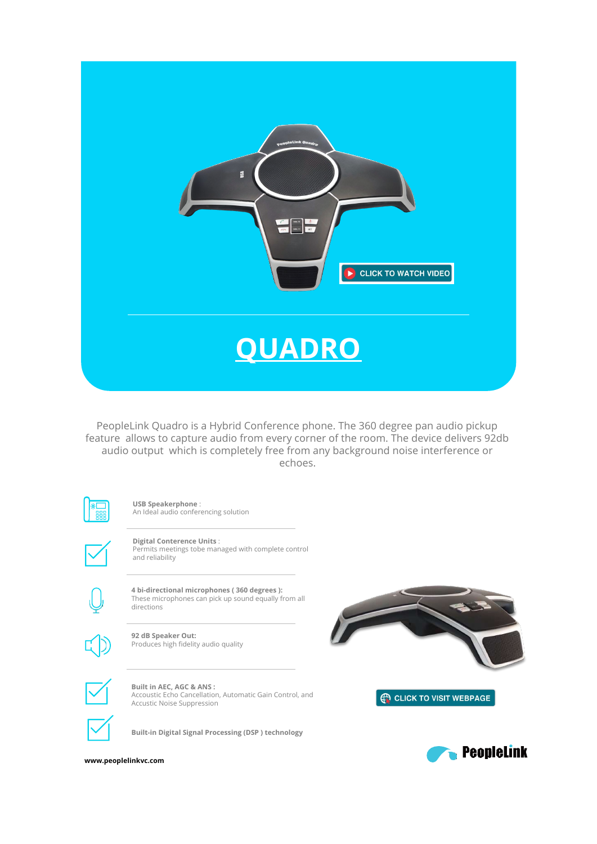

PeopleLink Quadro is a Hybrid Conference phone. The 360 degree pan audio pickup feature allows to capture audio from every corner of the room. The device delivers 92db audio output which is completely free from any background noise interference or echoes.



**USB Speakerphone** : An Ideal audio conferencing solution

**Digital Conterence Units** : Permits meetings tobe managed with complete control and reliability



**4 bi-directional microphones ( 360 degrees ):** These microphones can pick up sound equally from all directions



**92 dB Speaker Out:** Produces high fidelity audio quality

**Built in AEC, AGC & ANS :** Accoustic Echo Cancellation, Automatic Gain Control, and Accustic Noise Suppression

**EN CLICK TO VISIT WEBPAGE** 



**Built-in Digital Signal Processing (DSP ) technology**

**PeopleLink** 

www.peoplelinkvc.com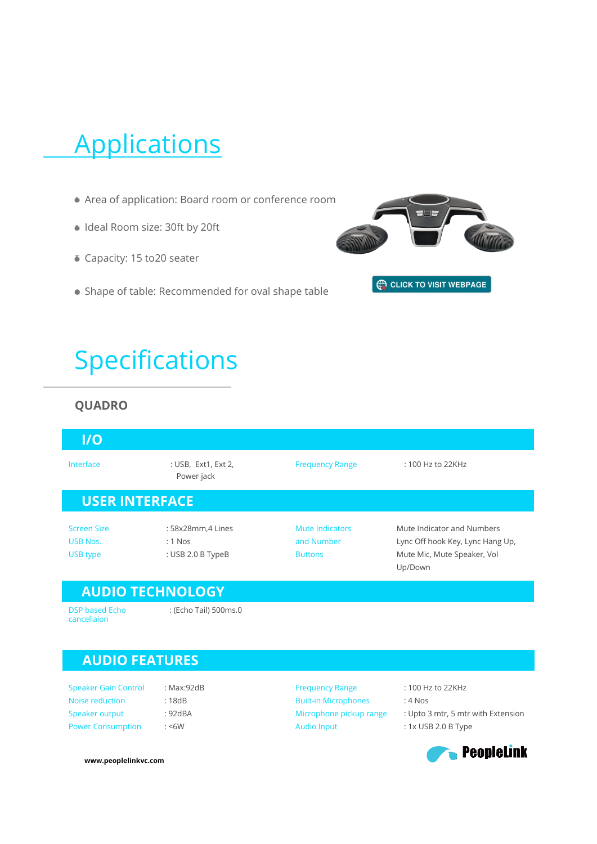# **Applications**

- Area of application: Board room or conference room
- I Ideal Room size: 30ft by 20ft
- Capacity: 15 to20 seater
- Shape of table: Recommended for oval shape table



# Specifications

#### **QUADRO**

| $\overline{U}$                                    |                                                     |                                                 |                                                                                                          |  |
|---------------------------------------------------|-----------------------------------------------------|-------------------------------------------------|----------------------------------------------------------------------------------------------------------|--|
| Interface                                         | : USB, Ext1, Ext 2,<br>Power jack                   | <b>Frequency Range</b>                          | $: 100$ Hz to 22KHz                                                                                      |  |
| <b>USER INTERFACE</b>                             |                                                     |                                                 |                                                                                                          |  |
| <b>Screen Size</b><br><b>USB Nos.</b><br>USB type | : 58x28mm,4 Lines<br>$: 1$ Nos<br>: USB 2.0 B TypeB | Mute Indicators<br>and Number<br><b>Buttons</b> | Mute Indicator and Numbers<br>Lync Off hook Key, Lync Hang Up,<br>Mute Mic, Mute Speaker, Vol<br>Up/Down |  |
|                                                   | <b>AUDIO TECHNOLOGY</b>                             |                                                 |                                                                                                          |  |

cancellaion

DSP based Echo : (Echo Tail) 500ms.0 B

## **AUDIO FEATURES**

Speaker Gain Control Noise reduction Speaker output Power Consumption

: Max:92dB : 18dB : 92dBA  $:$  <6W

Frequency Range Built-in Microphones Microphone pickup range Audio Input

: 100 Hz to 22KHz

- : 4 Nos
- : Upto 3 mtr, 5 mtr with Extension

: 1x USB 2.0 B Type



**www.peoplelinkvc.com**